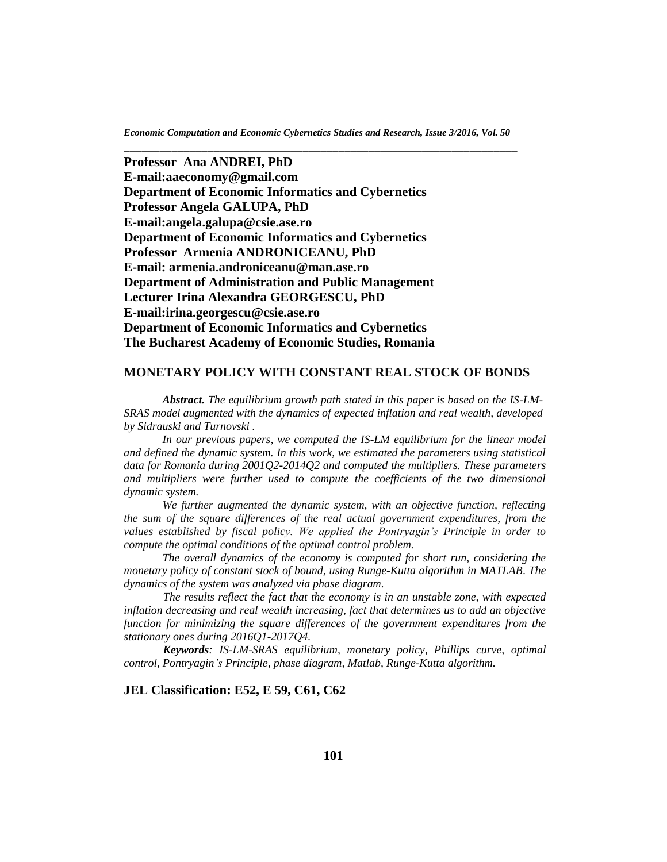**Professor Ana ANDREI, PhD E-mail:aaeconomy@gmail.com Department of Economic Informatics and Cybernetics Professor Angela GALUPA, PhD E-mail:angela.galupa@csie.ase.ro Department of Economic Informatics and Cybernetics Professor Armenia ANDRONICEANU, PhD E-mail: [armenia.androniceanu@man.ase.ro](mailto:armenia.androniceanu@man.ase.ro) Department of Administration and Public Management Lecturer Irina Alexandra GEORGESCU, PhD E-mail:irina.georgescu@csie.ase.ro Department of Economic Informatics and Cybernetics The Bucharest Academy of Economic Studies, Romania**

## **MONETARY POLICY WITH CONSTANT REAL STOCK OF BONDS**

*Abstract. The equilibrium growth path stated in this paper is based on the IS-LM-SRAS model augmented with the dynamics of expected inflation and real wealth, developed by Sidrauski and Turnovski .*

*In our previous papers, we computed the IS-LM equilibrium for the linear model and defined the dynamic system. In this work, we estimated the parameters using statistical data for Romania during 2001Q2-2014Q2 and computed the multipliers. These parameters*  and multipliers were further used to compute the coefficients of the two dimensional *dynamic system.*

*We further augmented the dynamic system, with an objective function, reflecting the sum of the square differences of the real actual government expenditures, from the values established by fiscal policy. We applied the Pontryagin's Principle in order to compute the optimal conditions of the optimal control problem.*

*The overall dynamics of the economy is computed for short run, considering the monetary policy of constant stock of bound*, *using Runge-Kutta algorithm in MATLAB*. *The dynamics of the system was analyzed via phase diagram.*

 *The results reflect the fact that the economy is in an unstable zone, with expected inflation decreasing and real wealth increasing, fact that determines us to add an objective function for minimizing the square differences of the government expenditures from the stationary ones during 2016Q1-2017Q4.*

*Keywords: IS-LM-SRAS equilibrium, monetary policy, Phillips curve, optimal control, Pontryagin's Principle, phase diagram, Matlab, Runge-Kutta algorithm.*

# **JEL Classification: E52, E 59, C61, C62**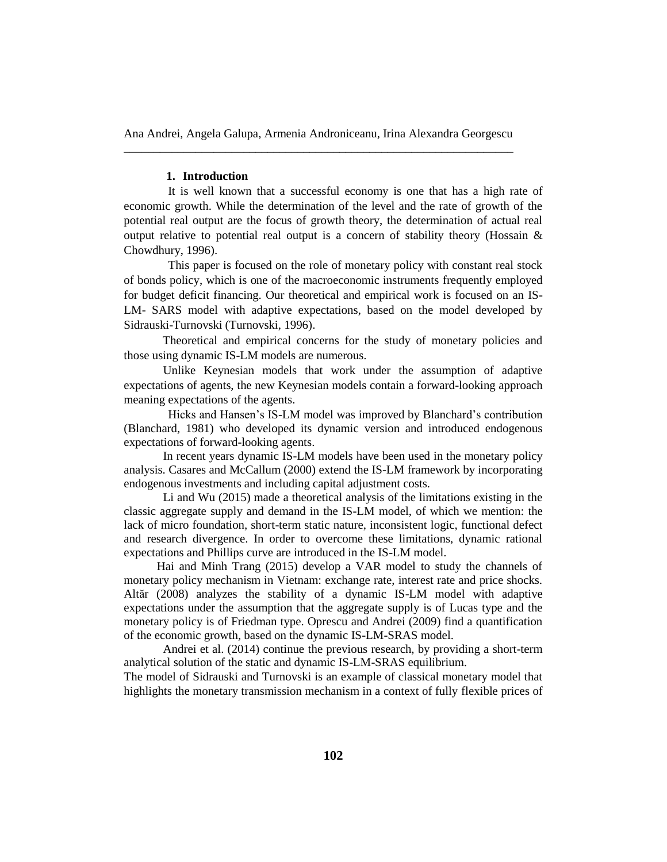#### **1. Introduction**

It is well known that a successful economy is one that has a high rate of economic growth. While the determination of the level and the rate of growth of the potential real output are the focus of growth theory, the determination of actual real output relative to potential real output is a concern of stability theory (Hossain  $\&$ Chowdhury, 1996).

This paper is focused on the role of monetary policy with constant real stock of bonds policy, which is one of the macroeconomic instruments frequently employed for budget deficit financing. Our theoretical and empirical work is focused on an IS-LM- SARS model with adaptive expectations, based on the model developed by Sidrauski-Turnovski (Turnovski, 1996).

 Theoretical and empirical concerns for the study of monetary policies and those using dynamic IS-LM models are numerous.

Unlike Keynesian models that work under the assumption of adaptive expectations of agents, the new Keynesian models contain a forward-looking approach meaning expectations of the agents.

Hicks and Hansen's IS-LM model was improved by Blanchard's contribution (Blanchard, 1981) who developed its dynamic version and introduced endogenous expectations of forward-looking agents.

In recent years dynamic IS-LM models have been used in the monetary policy analysis. Casares and McCallum (2000) extend the IS-LM framework by incorporating endogenous investments and including capital adjustment costs.

Li and Wu (2015) made a theoretical analysis of the limitations existing in the classic aggregate supply and demand in the IS-LM model, of which we mention: the lack of micro foundation, short-term static nature, inconsistent logic, functional defect and research divergence. In order to overcome these limitations, dynamic rational expectations and Phillips curve are introduced in the IS-LM model.

 Hai and Minh Trang (2015) develop a VAR model to study the channels of monetary policy mechanism in Vietnam: exchange rate, interest rate and price shocks. Altăr (2008) analyzes the stability of a dynamic IS-LM model with adaptive expectations under the assumption that the aggregate supply is of Lucas type and the monetary policy is of Friedman type. Oprescu and Andrei (2009) find a quantification of the economic growth, based on the dynamic IS-LM-SRAS model.

Andrei et al. (2014) continue the previous research, by providing a short-term analytical solution of the static and dynamic IS-LM-SRAS equilibrium.

The model of Sidrauski and Turnovski is an example of classical monetary model that highlights the monetary transmission mechanism in a context of fully flexible prices of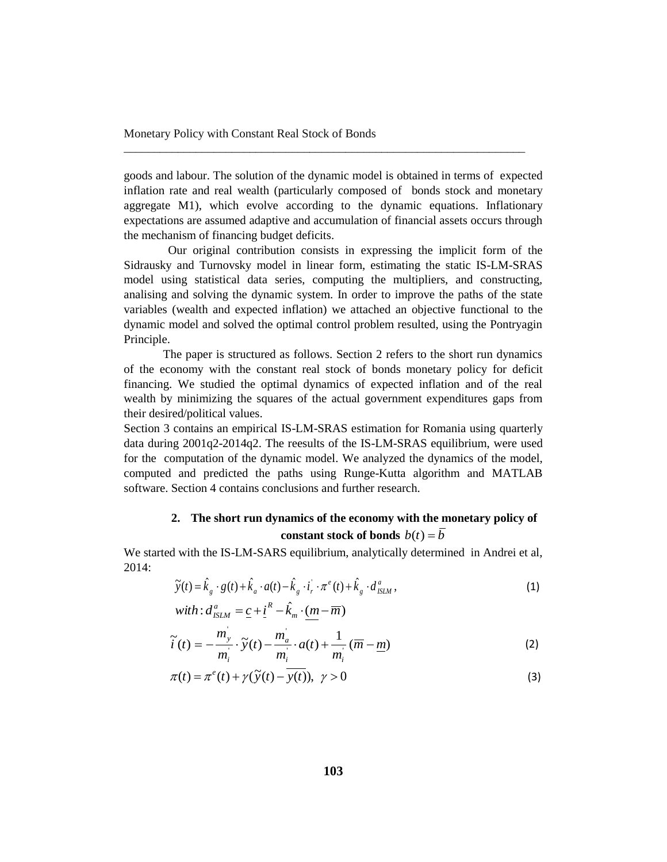goods and labour. The solution of the dynamic model is obtained in terms of expected inflation rate and real wealth (particularly composed of bonds stock and monetary aggregate M1), which evolve according to the dynamic equations. Inflationary expectations are assumed adaptive and accumulation of financial assets occurs through the mechanism of financing budget deficits.

\_\_\_\_\_\_\_\_\_\_\_\_\_\_\_\_\_\_\_\_\_\_\_\_\_\_\_\_\_\_\_\_\_\_\_\_\_\_\_\_\_\_\_\_\_\_\_\_\_\_\_\_\_\_\_\_\_\_\_\_\_\_\_\_\_\_\_

Our original contribution consists in expressing the implicit form of the Sidrausky and Turnovsky model in linear form, estimating the static IS-LM-SRAS model using statistical data series, computing the multipliers, and constructing, analising and solving the dynamic system. In order to improve the paths of the state variables (wealth and expected inflation) we attached an objective functional to the dynamic model and solved the optimal control problem resulted, using the Pontryagin Principle.

The paper is structured as follows. Section 2 refers to the short run dynamics of the economy with the constant real stock of bonds monetary policy for deficit financing. We studied the optimal dynamics of expected inflation and of the real wealth by minimizing the squares of the actual government expenditures gaps from their desired/political values.

Section 3 contains an empirical IS-LM-SRAS estimation for Romania using quarterly data during 2001q2-2014q2. The reesults of the IS-LM-SRAS equilibrium, were used for the computation of the dynamic model. We analyzed the dynamics of the model, computed and predicted the paths using Runge-Kutta algorithm and MATLAB software. Section 4 contains conclusions and further research.

# **2. The short run dynamics of the economy with the monetary policy of constant stock** of bonds  $b(t) = \overline{b}$

We started with the IS-LM-SARS equilibrium, analytically determined in Andrei et al, 2014:

$$
\widetilde{y}(t) = \hat{k}_g \cdot g(t) + \hat{k}_a \cdot a(t) - \hat{k}_g \cdot \vec{i}_r \cdot \pi^e(t) + \hat{k}_g \cdot d_{\text{ISLM}}^a, \nwith: d_{\text{ISLM}}^a = \underline{c} + \underline{i}^R - \hat{k}_m \cdot (m - \overline{m})
$$
\n(1)

$$
\widetilde{i}(t) = -\frac{m_y}{m_i} \cdot \widetilde{y}(t) - \frac{m_a}{m_i} \cdot a(t) + \frac{1}{m_i} (\overline{m} - \underline{m})
$$
\n(2)

$$
\pi(t) = \pi^e(t) + \gamma(\widetilde{y}(t) - \overline{y(t)}), \ \gamma > 0
$$
\n(3)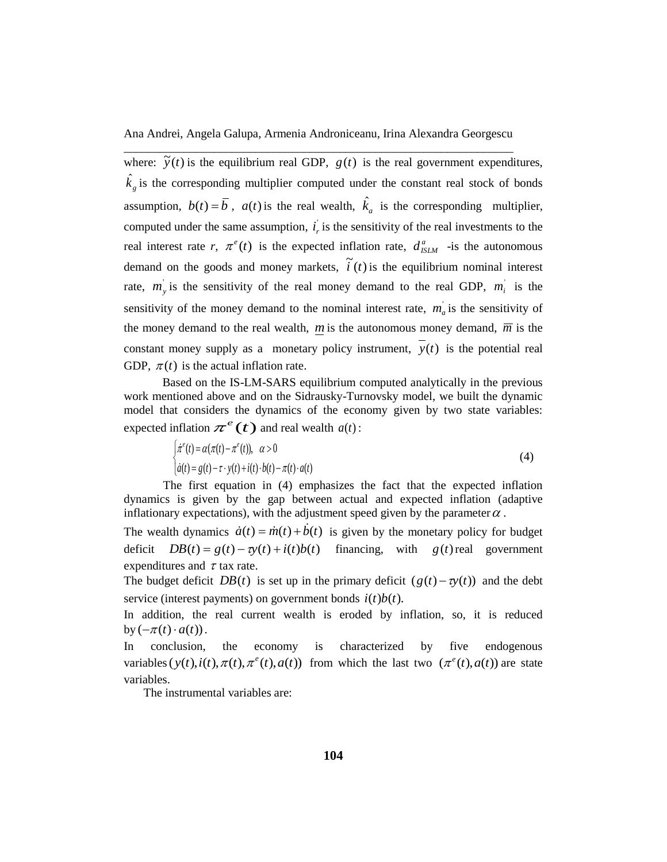where:  $\tilde{y}(t)$  is the equilibrium real GDP,  $g(t)$  is the real government expenditures,  $\hat{k}_g$  is the corresponding multiplier computed under the constant real stock of bonds assumption,  $b(t) = \overline{b}$ ,  $a(t)$  is the real wealth,  $\hat{k}_a$  is the corresponding multiplier, computed under the same assumption,  $i_r$  is the sensitivity of the real investments to the real interest rate *r*,  $\pi^e(t)$  is the expected inflation rate,  $d_{ISLM}^a$  -is the autonomous demand on the goods and money markets,  $\tilde{i}(t)$  is the equilibrium nominal interest rate,  $m_y$  is the sensitivity of the real money demand to the real GDP,  $m_i$  is the sensitivity of the money demand to the nominal interest rate,  $m_a$  is the sensitivity of the money demand to the real wealth,  $\overline{m}$  is the autonomous money demand,  $\overline{m}$  is the constant money supply as a monetary policy instrument,  $y(t)$  is the potential real GDP,  $\pi(t)$  is the actual inflation rate.

Based on the IS-LM-SARS equilibrium computed analytically in the previous work mentioned above and on the Sidrausky-Turnovsky model, we built the dynamic model that considers the dynamics of the economy given by two state variables: expected inflation  $\pi^e(t)$  and real wealth  $a(t)$ :

$$
\begin{cases}\n\dot{\pi}^e(t) = \alpha(\pi(t) - \pi^e(t)), & \alpha > 0 \\
\dot{a}(t) = g(t) - \tau \cdot y(t) + i(t) \cdot b(t) - \pi(t) \cdot a(t)\n\end{cases}
$$
\n(4)

The first equation in (4) emphasizes the fact that the expected inflation dynamics is given by the gap between actual and expected inflation (adaptive inflationary expectations), with the adjustment speed given by the parameter  $\alpha$ .

The wealth dynamics  $\dot{a}(t) = \dot{m}(t) + \dot{b}(t)$  is given by the monetary policy for budget deficit  $DB(t) = g(t) - \tau y(t) + i(t) b(t)$  financing, with  $g(t)$  real government expenditures and  $\tau$  tax rate.

The budget deficit  $DB(t)$  is set up in the primary deficit  $(g(t) - \tau y(t))$  and the debt service (interest payments) on government bonds  $i(t)b(t)$ .

In addition, the real current wealth is eroded by inflation, so, it is reduced by  $(-\pi(t) \cdot a(t))$ .

In conclusion, the economy is characterized by five endogenous variables  $(y(t), i(t), \pi(t), \pi^{e}(t), a(t))$  from which the last two  $(\pi^{e}(t), a(t))$  are state variables.

The instrumental variables are: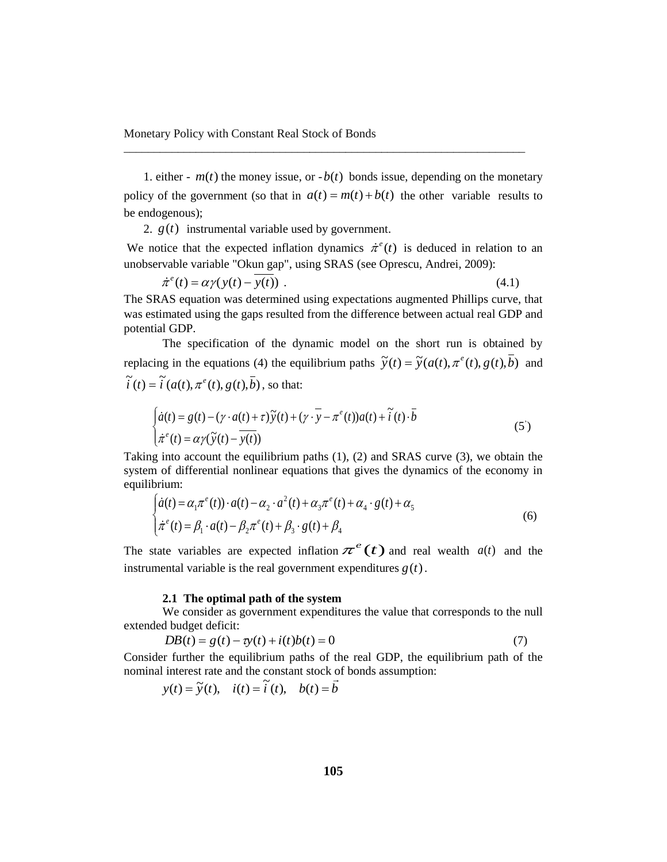1. either -  $m(t)$  the money issue, or  $-b(t)$  bonds issue, depending on the monetary policy of the government (so that in  $a(t) = m(t) + b(t)$  the other variable results to be endogenous);

\_\_\_\_\_\_\_\_\_\_\_\_\_\_\_\_\_\_\_\_\_\_\_\_\_\_\_\_\_\_\_\_\_\_\_\_\_\_\_\_\_\_\_\_\_\_\_\_\_\_\_\_\_\_\_\_\_\_\_\_\_\_\_\_\_\_\_

2.  $g(t)$  instrumental variable used by government.

We notice that the expected inflation dynamics  $\dot{\pi}^e(t)$  is deduced in relation to an unobservable variable "Okun gap", using SRAS (see Oprescu, Andrei, 2009):

$$
\dot{\pi}^e(t) = \alpha \gamma(y(t) - \overline{y(t)}) \tag{4.1}
$$

The SRAS equation was determined using expectations augmented Phillips curve, that was estimated using the gaps resulted from the difference between actual real GDP and potential GDP.

The specification of the dynamic model on the short run is obtained by replacing in the equations (4) the equilibrium paths  $\tilde{y}(t) = \tilde{y}(a(t), \pi^e(t), g(t), \bar{b})$  and  $\widetilde{i}(t) = \widetilde{i}(a(t), \pi^e(t), g(t), \overline{b})$ , so that:

$$
\begin{cases}\n\dot{a}(t) = g(t) - (\gamma \cdot a(t) + \tau)\tilde{y}(t) + (\gamma \cdot \overline{y} - \pi^e(t))a(t) + \tilde{i}(t) \cdot \overline{b} \\
\dot{\pi}^e(t) = \alpha \gamma(\tilde{y}(t) - \overline{y(t)})\n\end{cases}
$$
\n(5')

Taking into account the equilibrium paths (1), (2) and SRAS curve (3), we obtain the system of differential nonlinear equations that gives the dynamics of the economy in equilibrium:

$$
\begin{cases}\n\dot{a}(t) = \alpha_1 \pi^e(t) \cdot a(t) - \alpha_2 \cdot a^2(t) + \alpha_3 \pi^e(t) + \alpha_4 \cdot g(t) + \alpha_5 \\
\dot{\pi}^e(t) = \beta_1 \cdot a(t) - \beta_2 \pi^e(t) + \beta_3 \cdot g(t) + \beta_4\n\end{cases}
$$
\n(6)

The state variables are expected inflation  $\pi^e(t)$  and real wealth  $a(t)$  and the instrumental variable is the real government expenditures  $g(t)$ .

## **2.1 The optimal path of the system**

We consider as government expenditures the value that corresponds to the null extended budget deficit:

$$
DB(t) = g(t) - \tau y(t) + i(t)b(t) = 0
$$
\n(7)

Consider further the equilibrium paths of the real GDP, the equilibrium path of the nominal interest rate and the constant stock of bonds assumption:

$$
y(t) = \tilde{y}(t), \quad i(t) = \tilde{i}(t), \quad b(t) = \vec{b}
$$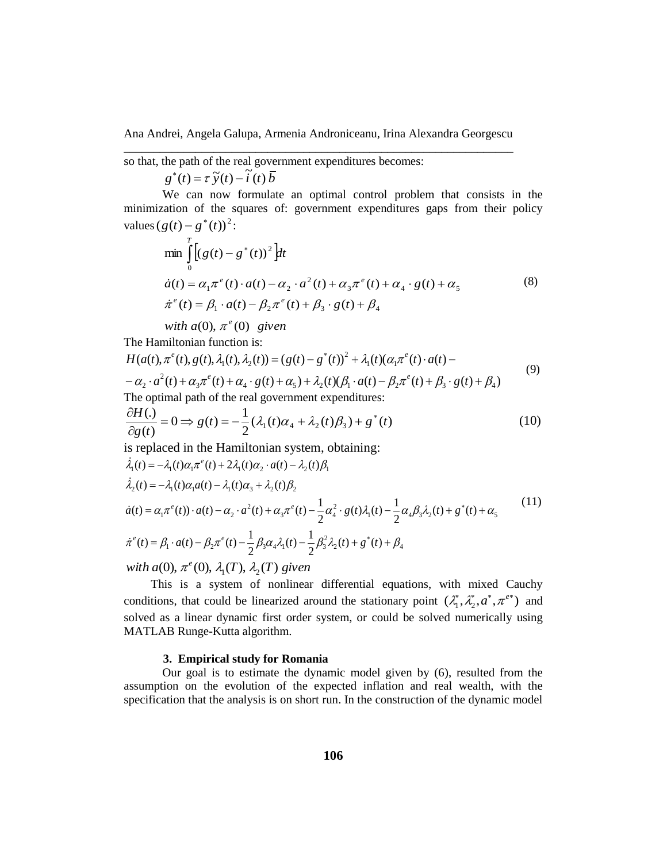so that, the path of the real government expenditures becomes:

 $g^*(t) = \tau \tilde{y}(t) - \tilde{t}(t) \bar{b}$ 

We can now formulate an optimal control problem that consists in the minimization of the squares of: government expenditures gaps from their policy values  $(g(t) - g^*(t))^2$ :

$$
\min_{0} \int_{0}^{T} [(g(t) - g^*(t))^2] dt
$$
  
\n
$$
\dot{a}(t) = \alpha_1 \pi^e(t) \cdot a(t) - \alpha_2 \cdot a^2(t) + \alpha_3 \pi^e(t) + \alpha_4 \cdot g(t) + \alpha_5
$$
  
\n
$$
\dot{\pi}^e(t) = \beta_1 \cdot a(t) - \beta_2 \pi^e(t) + \beta_3 \cdot g(t) + \beta_4
$$
\n(8)

*with*  $a(0), \pi^e(0)$  given

The Hamiltonian function is:

$$
H(a(t), \pi^{e}(t), g(t), \lambda_{1}(t), \lambda_{2}(t)) = (g(t) - g^{*}(t))^{2} + \lambda_{1}(t)(\alpha_{1}\pi^{e}(t) \cdot a(t) - \alpha_{2} \cdot a^{2}(t) + \alpha_{3}\pi^{e}(t) + \alpha_{4} \cdot g(t) + \alpha_{5}) + \lambda_{2}(t)(\beta_{1} \cdot a(t) - \beta_{2}\pi^{e}(t) + \beta_{3} \cdot g(t) + \beta_{4})
$$
\nThe optimal path of the real government expenditures: (9)

The optimal path of the real government expenditures:

$$
\frac{\partial H(.)}{\partial g(t)} = 0 \Longrightarrow g(t) = -\frac{1}{2}(\lambda_1(t)\alpha_4 + \lambda_2(t)\beta_3) + g^*(t)
$$
\n(10)

is replaced in the Hamiltonian system, obtaining:

$$
\begin{aligned}\n\dot{\lambda}_1(t) &= -\lambda_1(t)\alpha_1 \pi^\epsilon(t) + 2\lambda_1(t)\alpha_2 \cdot a(t) - \lambda_2(t)\beta_1 \\
\dot{\lambda}_2(t) &= -\lambda_1(t)\alpha_1 a(t) - \lambda_1(t)\alpha_3 + \lambda_2(t)\beta_2 \\
\dot{a}(t) &= \alpha_1 \pi^\epsilon(t) \cdot a(t) - \alpha_2 \cdot a^2(t) + \alpha_3 \pi^\epsilon(t) - \frac{1}{2}\alpha_4^2 \cdot g(t)\lambda_1(t) - \frac{1}{2}\alpha_4 \beta_3 \lambda_2(t) + g^*(t) + \alpha_5 \\
\dot{\pi}^\epsilon(t) &= \beta_1 \cdot a(t) - \beta_2 \pi^\epsilon(t) - \frac{1}{2}\beta_3 \alpha_4 \lambda_1(t) - \frac{1}{2}\beta_3^2 \lambda_2(t) + g^*(t) + \beta_4 \\
\text{with } a(0), \pi^\epsilon(0), \lambda_1(T), \lambda_2(T) \text{ given}\n\end{aligned} \tag{11}
$$

 This is a system of nonlinear differential equations, with mixed Cauchy conditions, that could be linearized around the stationary point  $(\lambda_1^*, \lambda_2^*, a^*, \pi^{e^*})$  and solved as a linear dynamic first order system, or could be solved numerically using MATLAB Runge-Kutta algorithm.

#### **3. Empirical study for Romania**

Our goal is to estimate the dynamic model given by (6), resulted from the assumption on the evolution of the expected inflation and real wealth, with the specification that the analysis is on short run. In the construction of the dynamic model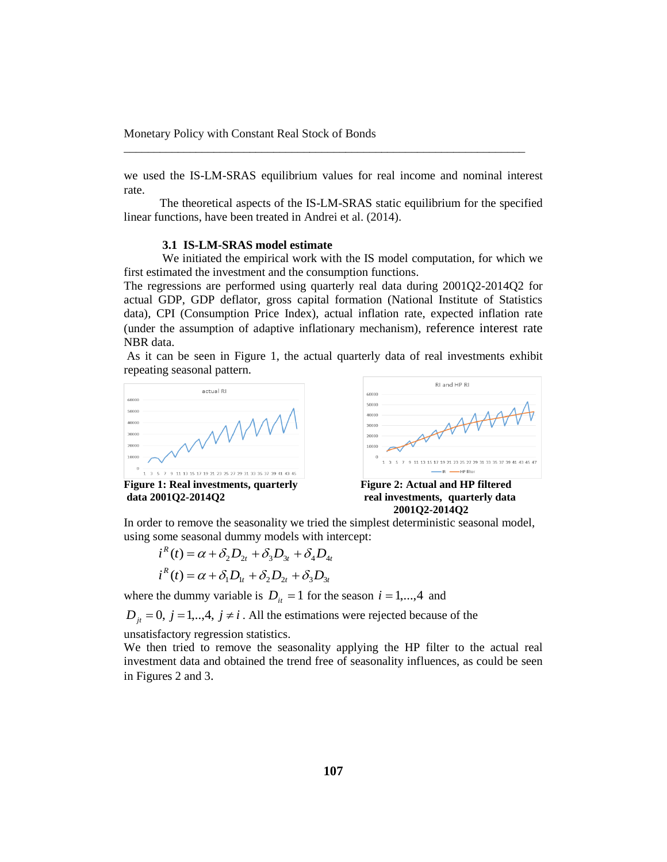we used the IS-LM-SRAS equilibrium values for real income and nominal interest rate.

\_\_\_\_\_\_\_\_\_\_\_\_\_\_\_\_\_\_\_\_\_\_\_\_\_\_\_\_\_\_\_\_\_\_\_\_\_\_\_\_\_\_\_\_\_\_\_\_\_\_\_\_\_\_\_\_\_\_\_\_\_\_\_\_\_\_\_

 The theoretical aspects of the IS-LM-SRAS static equilibrium for the specified linear functions, have been treated in Andrei et al. (2014).

#### **3.1 IS-LM-SRAS model estimate**

We initiated the empirical work with the IS model computation, for which we first estimated the investment and the consumption functions.

The regressions are performed using quarterly real data during 2001Q2-2014Q2 for actual GDP, GDP deflator, gross capital formation (National Institute of Statistics data), CPI (Consumption Price Index), actual inflation rate, expected inflation rate (under the assumption of adaptive inflationary mechanism), reference interest rate NBR data.

As it can be seen in Figure 1, the actual quarterly data of real investments exhibit repeating seasonal pattern.



**Figure 1: Real investments, quarterly Figure 2: Actual and HP filtered**



**data 2001Q2-2014Q2 real investments, quarterly data 2001Q2-2014Q2** 

In order to remove the seasonality we tried the simplest deterministic seasonal model, using some seasonal dummy models with intercept:

$$
i^{R}(t) = \alpha + \delta_2 D_{2t} + \delta_3 D_{3t} + \delta_4 D_{4t}
$$
  

$$
i^{R}(t) = \alpha + \delta_1 D_{1t} + \delta_2 D_{2t} + \delta_3 D_{3t}
$$

where the dummy variable is  $D_{it} = 1$  for the season  $i = 1,...,4$  and

 $D_{jt} = 0$ ,  $j = 1,..,4$ ,  $j \neq i$ . All the estimations were rejected because of the

unsatisfactory regression statistics.

We then tried to remove the seasonality applying the HP filter to the actual real investment data and obtained the trend free of seasonality influences, as could be seen in Figures 2 and 3.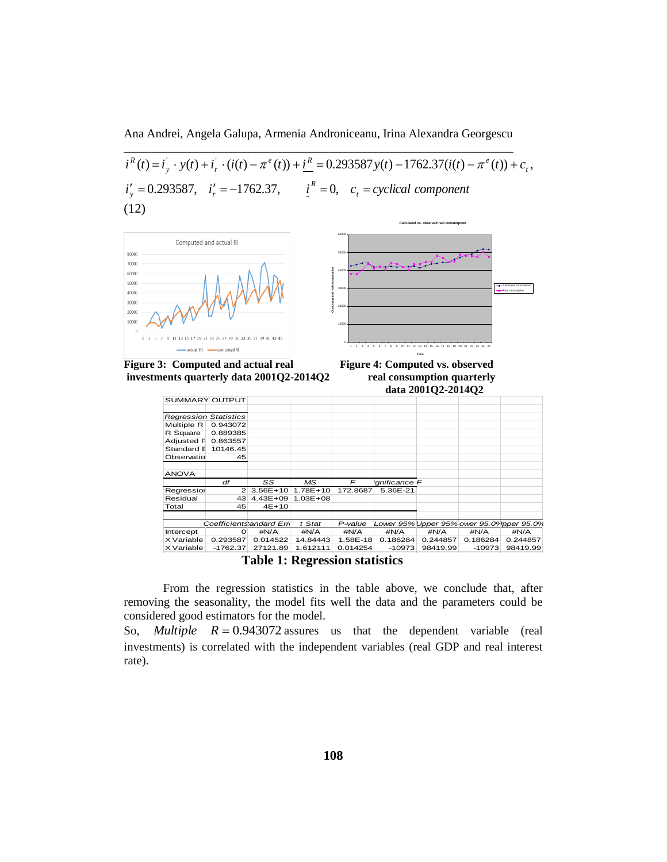Ana Andrei, Angela Galupa, Armenia Androniceanu, Irina Alexandra Georgescu \_\_\_\_\_\_\_\_\_\_\_\_\_\_\_\_\_\_\_\_\_\_\_\_\_\_\_\_\_\_\_\_\_\_\_\_\_\_\_\_\_\_\_\_\_\_\_\_\_\_\_\_\_\_\_\_\_\_\_\_\_\_\_\_\_

 $i'_{y} = 0.293587$ ,  $i'_{r} = -1762.37$ ,  $i'_{r} = 0$ ,  $c_{t} = cyclical component$  $i^{R}(t) = i_{y} \cdot y(t) + i_{r} \cdot (i(t) - \pi^{e}(t)) + \underline{i^{R}} = 0.293587 y(t) - 1762.37(i(t) - \pi^{e}(t)) + c_{t}$ *R*  $v_y' = 0.293587$ ,  $i_y' = -1762.37$ ,  $i_y'' = 0$ ,  $c_t =$  $e^{i(x)} + iR = 0.202597...$  (a)  $1762.27(i) = e^{i\theta}$  $y \cdot y(r) + r_r$  $R(t) = i_y \cdot y(t) + i_r \cdot (i(t) - \pi^e(t)) + i^R = 0.293587 y(t) - 1762.37(i(t) - \pi^e(t)) + c_t$ (12)



**Table 1: Regression statistics**

27121.89 1.612111 0.014254

From the regression statistics in the table above, we conclude that, after removing the seasonality, the model fits well the data and the parameters could be considered good estimators for the model.

X Variable 10.293587 0.014522 14.84443 1.58E-18 0.186284 0.244857 0.186284 0.244857

So, *Multiple*  $R = 0.943072$  assures us that the dependent variable (real investments) is correlated with the independent variables (real GDP and real interest rate).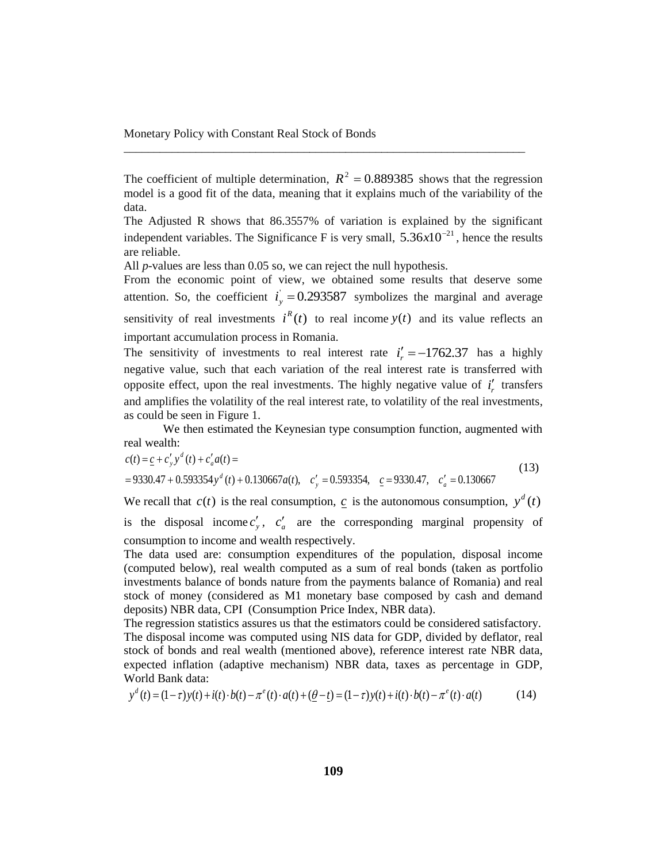The coefficient of multiple determination,  $R^2 = 0.889385$  shows that the regression model is a good fit of the data, meaning that it explains much of the variability of the data.

\_\_\_\_\_\_\_\_\_\_\_\_\_\_\_\_\_\_\_\_\_\_\_\_\_\_\_\_\_\_\_\_\_\_\_\_\_\_\_\_\_\_\_\_\_\_\_\_\_\_\_\_\_\_\_\_\_\_\_\_\_\_\_\_\_\_\_

The Adjusted R shows that 86.3557% of variation is explained by the significant independent variables. The Significance F is very small,  $5.36 \times 10^{-21}$ , hence the results are reliable.

All *p*-values are less than 0.05 so, we can reject the null hypothesis.

From the economic point of view, we obtained some results that deserve some attention. So, the coefficient  $i_y = 0.293587$  symbolizes the marginal and average sensitivity of real investments  $i^R(t)$  to real income  $y(t)$  and its value reflects an important accumulation process in Romania.

The sensitivity of investments to real interest rate  $i'_r = -1762.37$  has a highly negative value, such that each variation of the real interest rate is transferred with opposite effect, upon the real investments. The highly negative value of  $i'_r$  transfers and amplifies the volatility of the real interest rate, to volatility of the real investments, as could be seen in Figure 1.

We then estimated the Keynesian type consumption function, augmented with real wealth:

$$
c(t) = \underline{c} + c'_y y^d(t) + c'_a a(t) =
$$
  
= 9330.47 + 0.593354y<sup>d</sup> (t) + 0.130667a(t), c'\_y = 0.593354,  $c$  = 9330.47, c'\_a = 0.130667

We recall that  $c(t)$  is the real consumption, c is the autonomous consumption,  $y^d(t)$ is the disposal income  $c'_y$ ,  $c'_a$  are the corresponding marginal propensity of consumption to income and wealth respectively.

The data used are: consumption expenditures of the population, disposal income (computed below), real wealth computed as a sum of real bonds (taken as portfolio investments balance of bonds nature from the payments balance of Romania) and real stock of money (considered as M1 monetary base composed by cash and demand deposits) NBR data, CPI (Consumption Price Index, NBR data).

The regression statistics assures us that the estimators could be considered satisfactory. The disposal income was computed using NIS data for GDP, divided by deflator, real stock of bonds and real wealth (mentioned above), reference interest rate NBR data, expected inflation (adaptive mechanism) NBR data, taxes as percentage in GDP, World Bank data:

$$
y^{d}(t) = (1 - \tau)y(t) + i(t) \cdot b(t) - \pi^{e}(t) \cdot a(t) + (\underline{\theta} - t) = (1 - \tau)y(t) + i(t) \cdot b(t) - \pi^{e}(t) \cdot a(t)
$$
(14)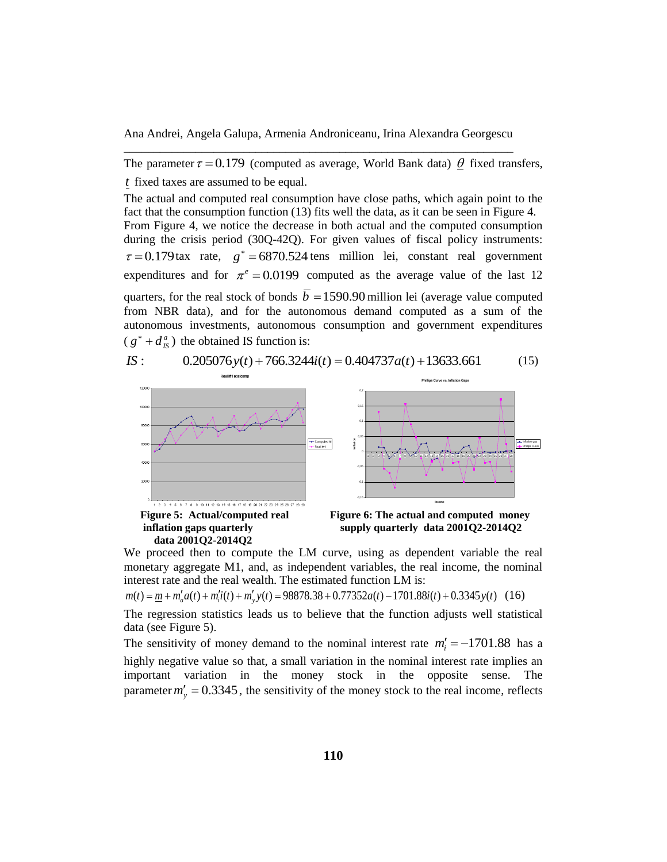The parameter  $\tau = 0.179$  (computed as average, World Bank data)  $\theta$  fixed transfers, *t* fixed taxes are assumed to be equal.

The actual and computed real consumption have close paths, which again point to the fact that the consumption function (13) fits well the data, as it can be seen in Figure 4. From Figure 4, we notice the decrease in both actual and the computed consumption during the crisis period (30Q-42Q). For given values of fiscal policy instruments:  $\tau = 0.179$ tax rate,  $g^* = 6870.524$  tens million lei, constant real government expenditures and for  $\pi^e = 0.0199$  computed as the average value of the last 12 quarters, for the real stock of bonds  $\overline{b} = 1590.90$  million lei (average value computed from NBR data), and for the autonomous demand computed as a sum of the autonomous investments, autonomous consumption and government expenditures  $(g^* + d_{IS}^a)$  the obtained IS function is:

*IS* :  $0.205076y(t) + 766.3244i(t) = 0.404737a(t) + 13633.661$  (15)



 **data 2001Q2-2014Q2** 



We proceed then to compute the LM curve, using as dependent variable the real monetary aggregate M1, and, as independent variables, the real income, the nominal interest rate and the real wealth. The estimated function LM is:

 $m(t) = \underline{m} + m'_a a(t) + m'_i i(t) + m'_y y(t) = 98878.38 + 0.77352a(t) - 1701.88i(t) + 0.3345y(t)$  (16)

The regression statistics leads us to believe that the function adjusts well statistical data (see Figure 5).

The sensitivity of money demand to the nominal interest rate  $m_i' = -1701.88$  has a highly negative value so that, a small variation in the nominal interest rate implies an important variation in the money stock in the opposite sense. The parameter  $m'_y = 0.3345$ , the sensitivity of the money stock to the real income, reflects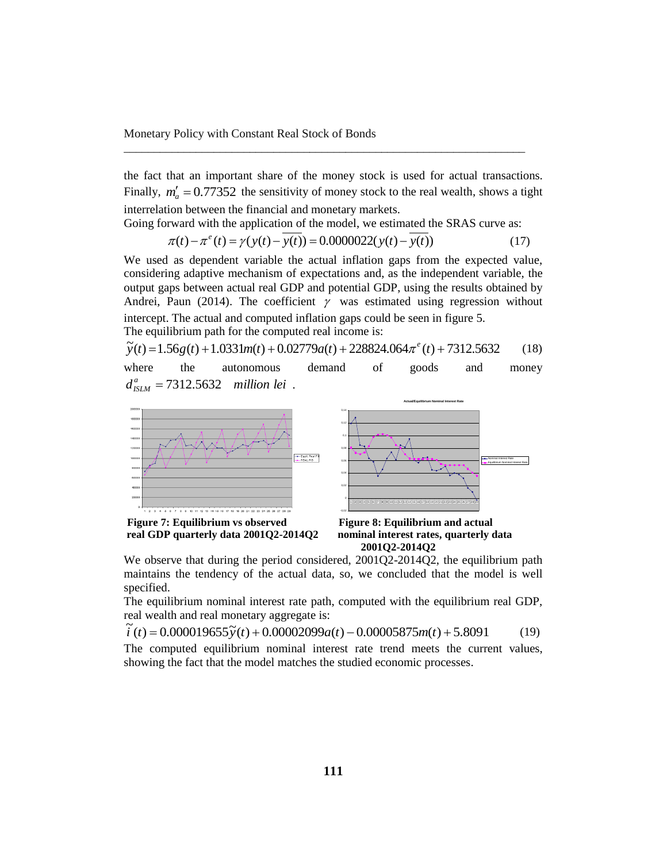the fact that an important share of the money stock is used for actual transactions. Finally,  $m'_a = 0.77352$  the sensitivity of money stock to the real wealth, shows a tight interrelation between the financial and monetary markets.

\_\_\_\_\_\_\_\_\_\_\_\_\_\_\_\_\_\_\_\_\_\_\_\_\_\_\_\_\_\_\_\_\_\_\_\_\_\_\_\_\_\_\_\_\_\_\_\_\_\_\_\_\_\_\_\_\_\_\_\_\_\_\_\_\_\_\_

Going forward with the application of the model, we estimated the SRAS curve as:

$$
\pi(t) - \pi^{e}(t) = \gamma(y(t) - y(t)) = 0.0000022(y(t) - y(t))
$$
\n(17)

We used as dependent variable the actual inflation gaps from the expected value, considering adaptive mechanism of expectations and, as the independent variable, the output gaps between actual real GDP and potential GDP, using the results obtained by Andrei, Paun (2014). The coefficient  $\gamma$  was estimated using regression without intercept. The actual and computed inflation gaps could be seen in figure 5. The equilibrium path for the computed real income is:

 $\widetilde{y}(t) = 1.56g(t) + 1.0331m(t) + 0.02779a(t) + 228824.064\pi^{e}(t) + 7312.5632$  (18)

where the autonomous demand of goods and money  $d_{ISLM}^a = 7312.5632$  *million lei*.



**real GDP quarterly data 2001Q2-2014Q2 nominal interest rates, quarterly data**

 **2001Q2-2014Q2**

We observe that during the period considered, 2001Q2-2014Q2, the equilibrium path maintains the tendency of the actual data, so, we concluded that the model is well specified.

The equilibrium nominal interest rate path, computed with the equilibrium real GDP, real wealth and real monetary aggregate is:

 $\tilde{i}$   $(t) = 0.000019655\tilde{y}(t) + 0.00002099a(t) - 0.00005875m(t) + 5.8091$  (19)

The computed equilibrium nominal interest rate trend meets the current values, showing the fact that the model matches the studied economic processes.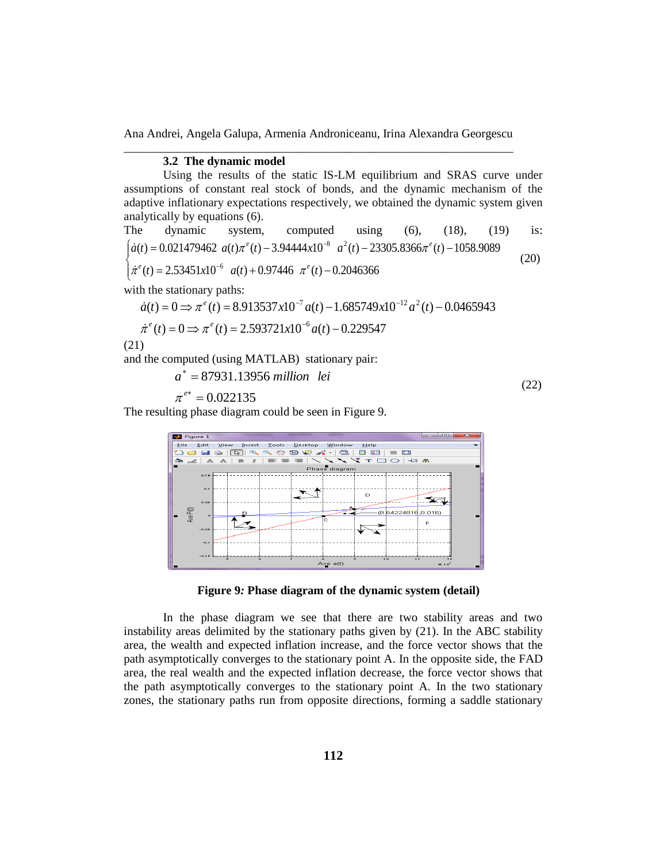## **3.2 The dynamic model**

Using the results of the static IS-LM equilibrium and SRAS curve under assumptions of constant real stock of bonds, and the dynamic mechanism of the adaptive inflationary expectations respectively, we obtained the dynamic system given analytically by equations (6).

The dynamic system, computed using (6), (18), (19) is:  
\n
$$
\begin{cases}\n\dot{a}(t) = 0.021479462 \ a(t)\pi^e(t) - 3.94444x10^{-8} \ a^2(t) - 23305.8366\pi^e(t) - 1058.9089 \\
\dot{\pi}^e(t) = 2.53451x10^{-6} \ a(t) + 0.97446 \ \pi^e(t) - 0.2046366\n\end{cases}
$$
\n(20)

with the stationary paths:

$$
\dot{a}(t) = 0 \Rightarrow \pi^e(t) = 8.913537 \times 10^{-7} a(t) - 1.685749 \times 10^{-12} a^2(t) - 0.0465943
$$

$$
\dot{\pi}^e(t) = 0 \Rightarrow \pi^e(t) = 2.593721 \times 10^{-6} a(t) - 0.229547
$$

$$
(21)
$$

and the computed (using MATLAB) stationary pair:

$$
a^* = 87931.13956 million\; lei\tag{22}
$$

$$
\pi^{e^*}=0.022135
$$

The resulting phase diagram could be seen in Figure 9.



**Figure 9***:* **Phase diagram of the dynamic system (detail)**

In the phase diagram we see that there are two stability areas and two instability areas delimited by the stationary paths given by (21). In the ABC stability area, the wealth and expected inflation increase, and the force vector shows that the path asymptotically converges to the stationary point A. In the opposite side, the FAD area, the real wealth and the expected inflation decrease, the force vector shows that the path asymptotically converges to the stationary point A. In the two stationary zones, the stationary paths run from opposite directions, forming a saddle stationary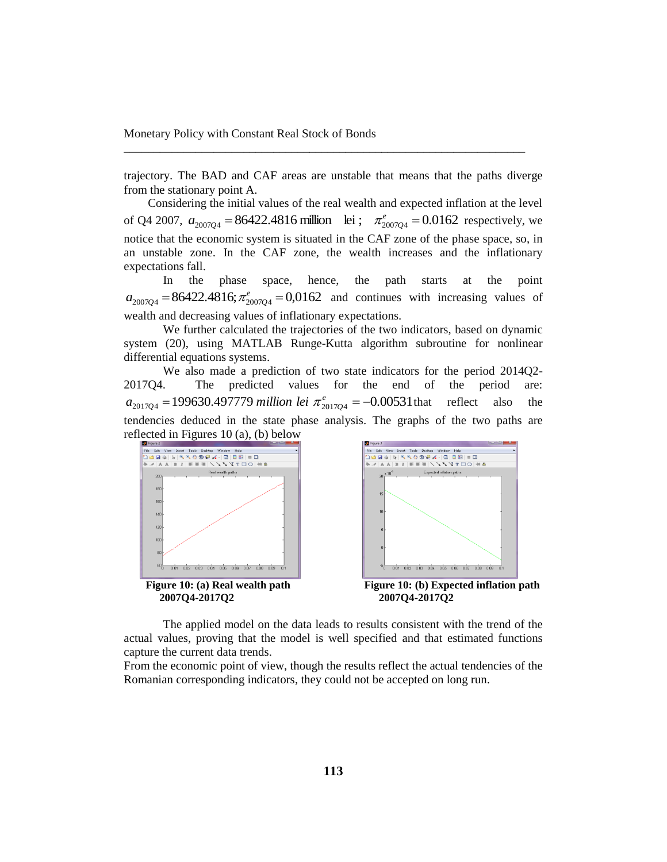trajectory. The BAD and CAF areas are unstable that means that the paths diverge from the stationary point A.

\_\_\_\_\_\_\_\_\_\_\_\_\_\_\_\_\_\_\_\_\_\_\_\_\_\_\_\_\_\_\_\_\_\_\_\_\_\_\_\_\_\_\_\_\_\_\_\_\_\_\_\_\_\_\_\_\_\_\_\_\_\_\_\_\_\_\_

 Considering the initial values of the real wealth and expected inflation at the level of Q4 2007,  $a_{2007Q4} = 86422.4816$  million lei;  $\pi_{2007Q4}^e = 0.0162$  respectively, we notice that the economic system is situated in the CAF zone of the phase space, so, in an unstable zone. In the CAF zone, the wealth increases and the inflationary expectations fall.

In the phase space, hence, the path starts at the point  $a_{2007Q4} = 86422.4816; \pi^{e}_{2007Q4} = 0.0162$  and continues with increasing values of wealth and decreasing values of inflationary expectations.

We further calculated the trajectories of the two indicators, based on dynamic system (20), using MATLAB Runge-Kutta algorithm subroutine for nonlinear differential equations systems.

We also made a prediction of two state indicators for the period 2014Q2- 2017Q4. The predicted values for the end of the period are:  $a_{2017Q4} = 199630.497779$  *million lei*  $\pi_{2017Q4}^e = -0.00531$  that reflect also the tendencies deduced in the state phase analysis. The graphs of the two paths are reflected in Figures 10 (a), (b) below





The applied model on the data leads to results consistent with the trend of the actual values, proving that the model is well specified and that estimated functions capture the current data trends.

From the economic point of view, though the results reflect the actual tendencies of the Romanian corresponding indicators, they could not be accepted on long run.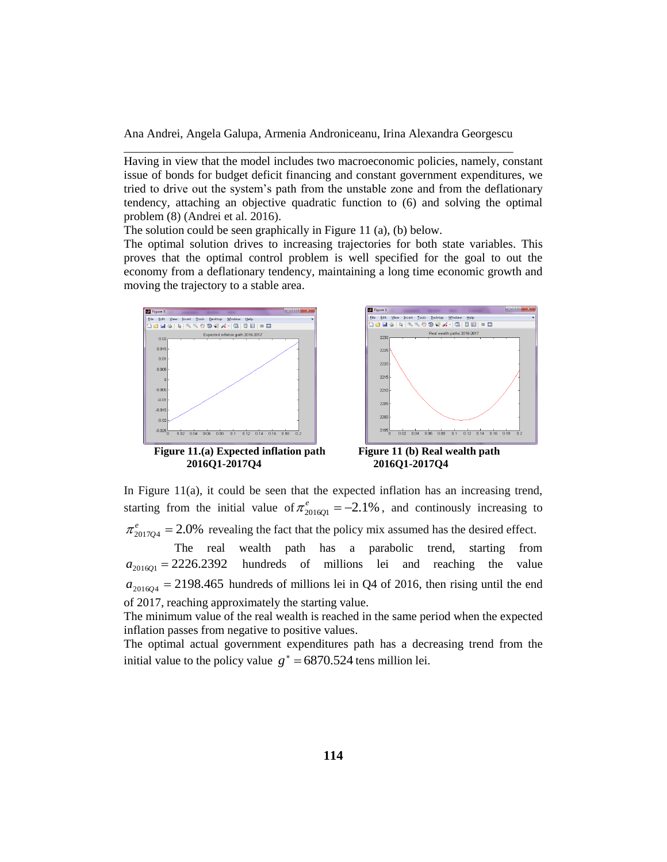Having in view that the model includes two macroeconomic policies, namely, constant issue of bonds for budget deficit financing and constant government expenditures, we tried to drive out the system's path from the unstable zone and from the deflationary tendency, attaching an objective quadratic function to (6) and solving the optimal problem (8) (Andrei et al. 2016).

The solution could be seen graphically in Figure 11 (a), (b) below.

The optimal solution drives to increasing trajectories for both state variables. This proves that the optimal control problem is well specified for the goal to out the economy from a deflationary tendency, maintaining a long time economic growth and moving the trajectory to a stable area.





In Figure 11(a), it could be seen that the expected inflation has an increasing trend, starting from the initial value of  $\pi_{2016Q1}^e = -2.1\%$ , and continously increasing to  $\pi_{2017Q4}^e = 2.0\%$  revealing the fact that the policy mix assumed has the desired effect.

 The real wealth path has a parabolic trend, starting from  $a_{201601} = 2226.2392$ hundreds of millions lei and reaching the value  $a_{2016Q4} = 2198.465$  hundreds of millions lei in Q4 of 2016, then rising until the end of 2017, reaching approximately the starting value.

The minimum value of the real wealth is reached in the same period when the expected inflation passes from negative to positive values.

The optimal actual government expenditures path has a decreasing trend from the initial value to the policy value  $g^* = 6870.524$  tens million lei.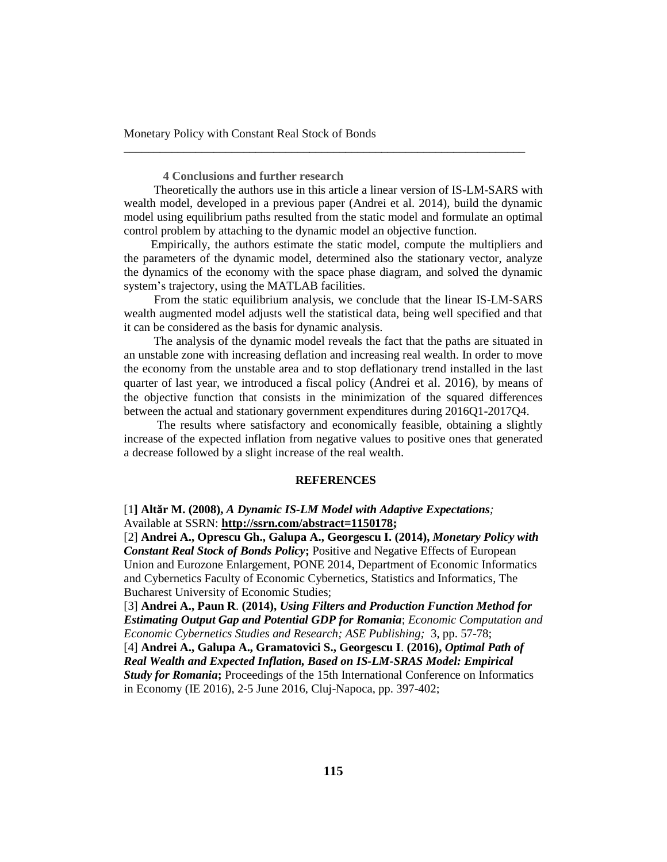Monetary Policy with Constant Real Stock of Bonds

**4 Conclusions and further research**

 Theoretically the authors use in this article a linear version of IS-LM-SARS with wealth model, developed in a previous paper (Andrei et al. 2014), build the dynamic model using equilibrium paths resulted from the static model and formulate an optimal control problem by attaching to the dynamic model an objective function.

\_\_\_\_\_\_\_\_\_\_\_\_\_\_\_\_\_\_\_\_\_\_\_\_\_\_\_\_\_\_\_\_\_\_\_\_\_\_\_\_\_\_\_\_\_\_\_\_\_\_\_\_\_\_\_\_\_\_\_\_\_\_\_\_\_\_\_

 Empirically, the authors estimate the static model, compute the multipliers and the parameters of the dynamic model, determined also the stationary vector, analyze the dynamics of the economy with the space phase diagram, and solved the dynamic system's trajectory, using the MATLAB facilities.

 From the static equilibrium analysis, we conclude that the linear IS-LM-SARS wealth augmented model adjusts well the statistical data, being well specified and that it can be considered as the basis for dynamic analysis.

 The analysis of the dynamic model reveals the fact that the paths are situated in an unstable zone with increasing deflation and increasing real wealth. In order to move the economy from the unstable area and to stop deflationary trend installed in the last quarter of last year, we introduced a fiscal policy (Andrei et al. 2016), by means of the objective function that consists in the minimization of the squared differences between the actual and stationary government expenditures during 2016Q1-2017Q4.

 The results where satisfactory and economically feasible, obtaining a slightly increase of the expected inflation from negative values to positive ones that generated a decrease followed by a slight increase of the real wealth.

#### **REFERENCES**

# [1**] Altăr M. (2008),** *A Dynamic IS-LM Model with Adaptive Expectations;* Available at SSRN: **[http://ssrn.com/abstract=1150178;](http://ssrn.com/abstract=1150178)**

[2] **Andrei A., Oprescu Gh., Galupa A., Georgescu I. (2014),** *Monetary Policy with Constant Real Stock of Bonds Policy***;** Positive and Negative Effects of European Union and Eurozone Enlargement, PONE 2014, Department of Economic Informatics and Cybernetics Faculty of Economic Cybernetics, Statistics and Informatics, The Bucharest University of Economic Studies;

[3] **Andrei A., Paun R**. **(2014),** *Using Filters and Production Function Method for Estimating Output Gap and Potential GDP for Romania*; *Economic Computation and Economic Cybernetics Studies and Research; ASE Publishing;* 3, pp. 57-78;

[4] **Andrei A., Galupa A., Gramatovici S., Georgescu I**. **(2016),** *Optimal Path of Real Wealth and Expected Inflation, Based on IS-LM-SRAS Model: Empirical Study for Romania*; Proceedings of the 15th International Conference on Informatics in Economy (IE 2016), 2-5 June 2016, Cluj-Napoca, pp. 397-402;